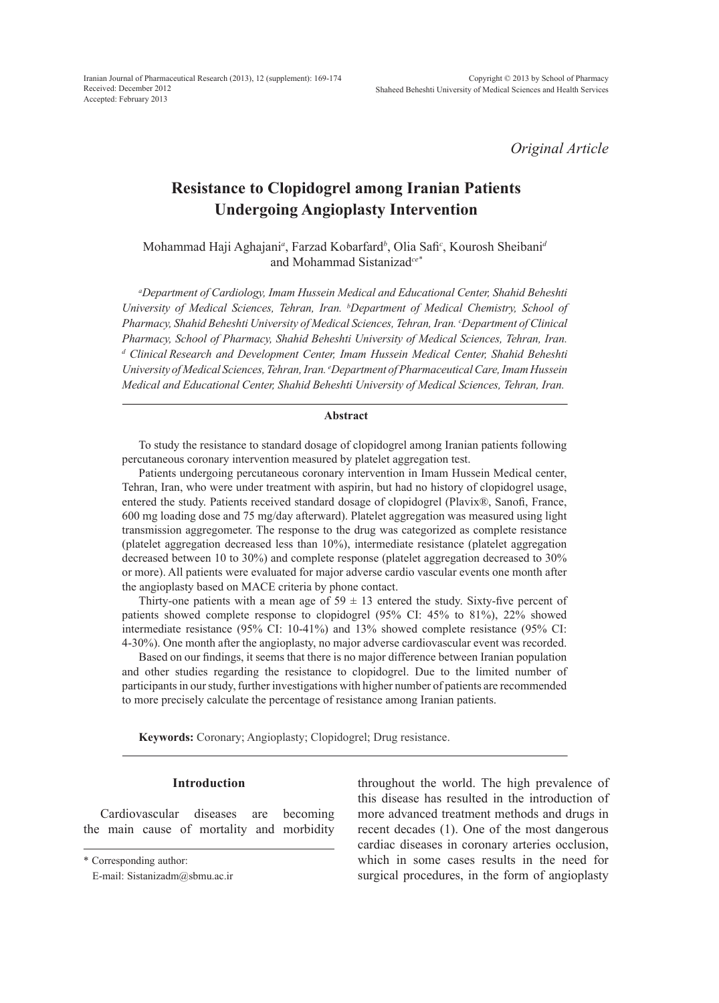*Original Article*

# **Resistance to Clopidogrel among Iranian Patients Undergoing Angioplasty Intervention**

Mohammad Haji Aghajani*<sup>a</sup>* , Farzad Kobarfard*<sup>b</sup>* , Olia Safi*<sup>c</sup>* , Kourosh Sheibani*<sup>d</sup>* and Mohammad Sistanizad*ce\**

*a Department of Cardiology, Imam Hussein Medical and Educational Center, Shahid Beheshti University of Medical Sciences, Tehran, Iran. b Department of Medical Chemistry, School of Pharmacy, Shahid Beheshti University of Medical Sciences, Tehran, Iran. c Department of Clinical Pharmacy, School of Pharmacy, Shahid Beheshti University of Medical Sciences, Tehran, Iran.*  <sup>d</sup> Clinical Research and Development Center, Imam Hussein Medical Center, Shahid Beheshti *University of Medical Sciences, Tehran, Iran. e Department of Pharmaceutical Care, Imam Hussein Medical and Educational Center, Shahid Beheshti University of Medical Sciences, Tehran, Iran.*

## **Abstract**

To study the resistance to standard dosage of clopidogrel among Iranian patients following percutaneous coronary intervention measured by platelet aggregation test.

Patients undergoing percutaneous coronary intervention in Imam Hussein Medical center, Tehran, Iran, who were under treatment with aspirin, but had no history of clopidogrel usage, entered the study. Patients received standard dosage of clopidogrel (Plavix®, Sanofi, France, 600 mg loading dose and 75 mg/day afterward). Platelet aggregation was measured using light transmission aggregometer. The response to the drug was categorized as complete resistance (platelet aggregation decreased less than 10%), intermediate resistance (platelet aggregation decreased between 10 to 30%) and complete response (platelet aggregation decreased to 30% or more). All patients were evaluated for major adverse cardio vascular events one month after the angioplasty based on MACE criteria by phone contact.

Thirty-one patients with a mean age of  $59 \pm 13$  entered the study. Sixty-five percent of patients showed complete response to clopidogrel (95% CI: 45% to 81%), 22% showed intermediate resistance (95% CI: 10-41%) and 13% showed complete resistance (95% CI: 4-30%). One month after the angioplasty, no major adverse cardiovascular event was recorded.

Based on our findings, it seems that there is no major difference between Iranian population and other studies regarding the resistance to clopidogrel. Due to the limited number of participants in our study, further investigations with higher number of patients are recommended to more precisely calculate the percentage of resistance among Iranian patients.

**Keywords:** Coronary; Angioplasty; Clopidogrel; Drug resistance.

## **Introduction**

Cardiovascular diseases are becoming the main cause of mortality and morbidity

throughout the world. The high prevalence of this disease has resulted in the introduction of more advanced treatment methods and drugs in recent decades (1). One of the most dangerous cardiac diseases in coronary arteries occlusion, which in some cases results in the need for surgical procedures, in the form of angioplasty

<sup>\*</sup> Corresponding author:

E-mail: Sistanizadm@sbmu.ac.ir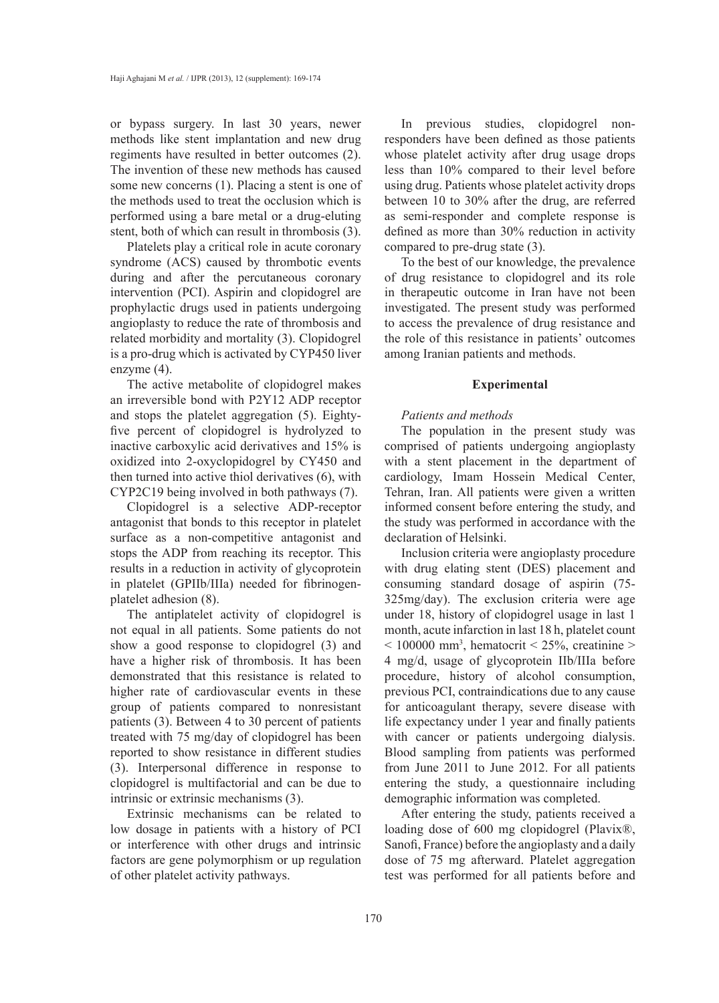or bypass surgery. In last 30 years, newer methods like stent implantation and new drug regiments have resulted in better outcomes (2). The invention of these new methods has caused some new concerns (1). Placing a stent is one of the methods used to treat the occlusion which is performed using a bare metal or a drug-eluting stent, both of which can result in thrombosis (3).

Platelets play a critical role in acute coronary syndrome (ACS) caused by thrombotic events during and after the percutaneous coronary intervention (PCI). Aspirin and clopidogrel are prophylactic drugs used in patients undergoing angioplasty to reduce the rate of thrombosis and related morbidity and mortality (3). Clopidogrel is a pro-drug which is activated by CYP450 liver enzyme (4).

The active metabolite of clopidogrel makes an irreversible bond with P2Y12 ADP receptor and stops the platelet aggregation (5). Eightyfive percent of clopidogrel is hydrolyzed to inactive carboxylic acid derivatives and 15% is oxidized into 2-oxyclopidogrel by CY450 and then turned into active thiol derivatives (6), with CYP2C19 being involved in both pathways (7).

Clopidogrel is a selective ADP-receptor antagonist that bonds to this receptor in platelet surface as a non-competitive antagonist and stops the ADP from reaching its receptor. This results in a reduction in activity of glycoprotein in platelet (GPIIb/IIIa) needed for fibrinogenplatelet adhesion (8).

The antiplatelet activity of clopidogrel is not equal in all patients. Some patients do not show a good response to clopidogrel (3) and have a higher risk of thrombosis. It has been demonstrated that this resistance is related to higher rate of cardiovascular events in these group of patients compared to nonresistant patients (3). Between 4 to 30 percent of patients treated with 75 mg/day of clopidogrel has been reported to show resistance in different studies (3). Interpersonal difference in response to clopidogrel is multifactorial and can be due to intrinsic or extrinsic mechanisms (3).

Extrinsic mechanisms can be related to low dosage in patients with a history of PCI or interference with other drugs and intrinsic factors are gene polymorphism or up regulation of other platelet activity pathways.

In previous studies, clopidogrel nonresponders have been defined as those patients whose platelet activity after drug usage drops less than 10% compared to their level before using drug. Patients whose platelet activity drops between 10 to 30% after the drug, are referred as semi-responder and complete response is defined as more than 30% reduction in activity compared to pre-drug state (3).

To the best of our knowledge, the prevalence of drug resistance to clopidogrel and its role in therapeutic outcome in Iran have not been investigated. The present study was performed to access the prevalence of drug resistance and the role of this resistance in patients' outcomes among Iranian patients and methods.

### **Experimental**

### *Patients and methods*

The population in the present study was comprised of patients undergoing angioplasty with a stent placement in the department of cardiology, Imam Hossein Medical Center, Tehran, Iran. All patients were given a written informed consent before entering the study, and the study was performed in accordance with the declaration of Helsinki.

Inclusion criteria were angioplasty procedure with drug elating stent (DES) placement and consuming standard dosage of aspirin (75- 325mg/day). The exclusion criteria were age under 18, history of clopidogrel usage in last 1 month, acute infarction in last 18 h, platelet count  $\leq$  100000 mm<sup>3</sup>, hematocrit  $\leq$  25%, creatinine  $>$ 4 mg/d, usage of glycoprotein IIb/IIIa before procedure, history of alcohol consumption, previous PCI, contraindications due to any cause for anticoagulant therapy, severe disease with life expectancy under 1 year and finally patients with cancer or patients undergoing dialysis. Blood sampling from patients was performed from June 2011 to June 2012. For all patients entering the study, a questionnaire including demographic information was completed.

After entering the study, patients received a loading dose of 600 mg clopidogrel (Plavix®, Sanofi, France) before the angioplasty and a daily dose of 75 mg afterward. Platelet aggregation test was performed for all patients before and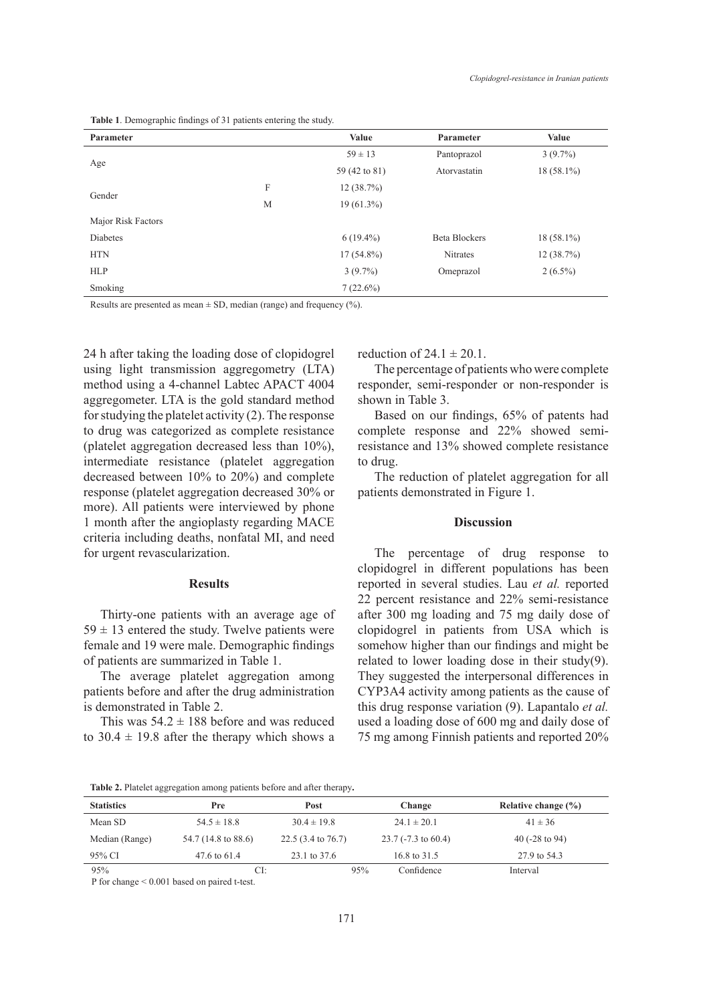| Table 1. Demographic findings of 31 patients entering the study. |  |
|------------------------------------------------------------------|--|
|------------------------------------------------------------------|--|

| Parameter          |   | Value         | Parameter            | Value        |
|--------------------|---|---------------|----------------------|--------------|
|                    |   | $59 \pm 13$   | Pantoprazol          | $3(9.7\%)$   |
| Age                |   | 59 (42 to 81) | Atorvastatin         | $18(58.1\%)$ |
|                    | F | 12(38.7%)     |                      |              |
| Gender             | M | $19(61.3\%)$  |                      |              |
| Major Risk Factors |   |               |                      |              |
| Diabetes           |   | $6(19.4\%)$   | <b>Beta Blockers</b> | $18(58.1\%)$ |
| <b>HTN</b>         |   | $17(54.8\%)$  | Nitrates             | 12(38.7%)    |
| <b>HLP</b>         |   | $3(9.7\%)$    | Omeprazol            | $2(6.5\%)$   |
| Smoking            |   | 7(22.6%)      |                      |              |

Results are presented as mean  $\pm$  SD, median (range) and frequency  $(\% )$ .

24 h after taking the loading dose of clopidogrel using light transmission aggregometry (LTA) method using a 4-channel Labtec APACT 4004 aggregometer. LTA is the gold standard method for studying the platelet activity (2). The response to drug was categorized as complete resistance (platelet aggregation decreased less than 10%), intermediate resistance (platelet aggregation decreased between 10% to 20%) and complete response (platelet aggregation decreased 30% or more). All patients were interviewed by phone 1 month after the angioplasty regarding MACE criteria including deaths, nonfatal MI, and need for urgent revascularization.

### **Results**

Thirty-one patients with an average age of  $59 \pm 13$  entered the study. Twelve patients were female and 19 were male. Demographic findings of patients are summarized in Table 1.

The average platelet aggregation among patients before and after the drug administration is demonstrated in Table 2.

This was  $54.2 \pm 188$  before and was reduced to  $30.4 \pm 19.8$  after the therapy which shows a reduction of  $24.1 \pm 20.1$ .

The percentage of patients who were complete responder, semi-responder or non-responder is shown in Table 3.

Based on our findings, 65% of patents had complete response and 22% showed semiresistance and 13% showed complete resistance to drug.

The reduction of platelet aggregation for all patients demonstrated in Figure 1.

#### **Discussion**

The percentage of drug response to clopidogrel in different populations has been reported in several studies. Lau *et al.* reported 22 percent resistance and 22% semi-resistance after 300 mg loading and 75 mg daily dose of clopidogrel in patients from USA which is somehow higher than our findings and might be related to lower loading dose in their study(9). They suggested the interpersonal differences in CYP3A4 activity among patients as the cause of this drug response variation (9). Lapantalo *et al.* used a loading dose of 600 mg and daily dose of 75 mg among Finnish patients and reported 20%

**Table 2.** Platelet aggregation among patients before and after therapy**.**

| <b>Statistics</b> | Pre                 | <b>Post</b>                  | Change                | Relative change $(\% )$   |
|-------------------|---------------------|------------------------------|-----------------------|---------------------------|
| Mean SD           | $54.5 \pm 18.8$     | $30.4 \pm 19.8$              | $24.1 \pm 20.1$       | $41 \pm 36$               |
| Median (Range)    | 54.7 (14.8 to 88.6) | $22.5(3.4 \text{ to } 76.7)$ | $23.7$ (-7.3 to 60.4) | 40 $(-28 \text{ to } 94)$ |
| 95% CI            | 47.6 to 61.4        | 23.1 to 37.6                 | 16.8 to 31.5          | 27.9 to 54.3              |
| 95%               | CI:                 |                              | 95%<br>Confidence     | Interval                  |

P for change < 0.001 based on paired t-test.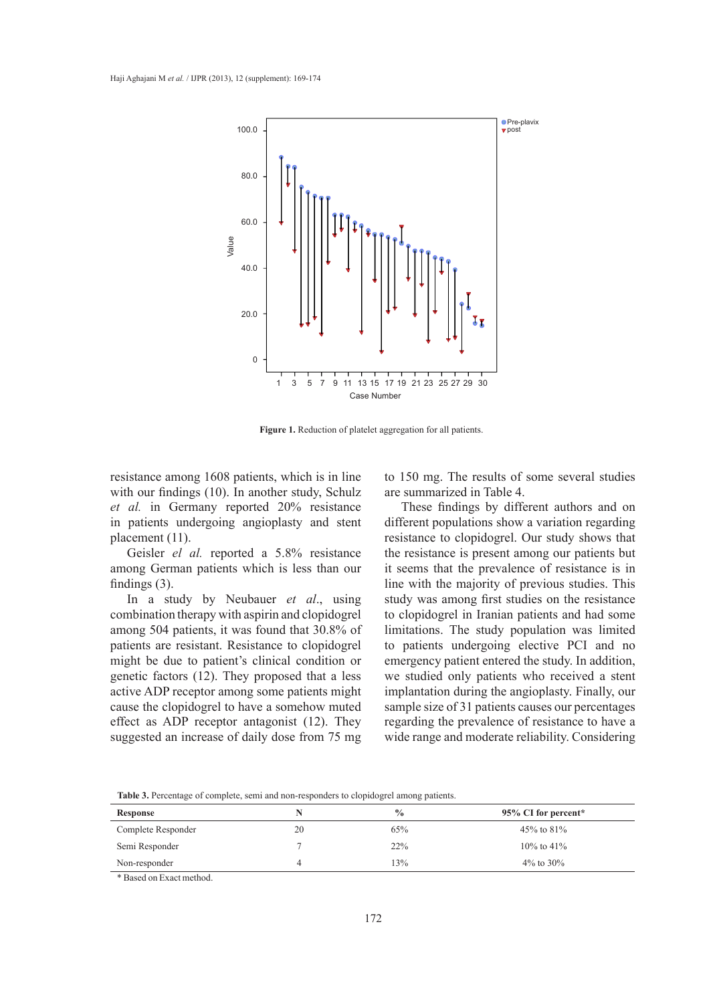

**Figure 1.** Reduction of platelet aggregation for all patients.

resistance among 1608 patients, which is in line with our findings (10). In another study, Schulz *et al.* in Germany reported 20% resistance in patients undergoing angioplasty and stent placement (11).

Geisler *el al.* reported a 5.8% resistance among German patients which is less than our findings (3).

In a study by Neubauer *et al*., using combination therapy with aspirin and clopidogrel among 504 patients, it was found that 30.8% of patients are resistant. Resistance to clopidogrel might be due to patient's clinical condition or genetic factors (12). They proposed that a less active ADP receptor among some patients might cause the clopidogrel to have a somehow muted effect as ADP receptor antagonist (12). They suggested an increase of daily dose from 75 mg to 150 mg. The results of some several studies are summarized in Table 4.

These findings by different authors and on different populations show a variation regarding resistance to clopidogrel. Our study shows that the resistance is present among our patients but it seems that the prevalence of resistance is in line with the majority of previous studies. This study was among first studies on the resistance to clopidogrel in Iranian patients and had some limitations. The study population was limited to patients undergoing elective PCI and no emergency patient entered the study. In addition, we studied only patients who received a stent implantation during the angioplasty. Finally, our sample size of 31 patients causes our percentages regarding the prevalence of resistance to have a wide range and moderate reliability. Considering

**Table 3.** Percentage of complete, semi and non-responders to clopidogrel among patients.

| Response           |    | $\frac{0}{0}$ | 95% CI for percent* |
|--------------------|----|---------------|---------------------|
| Complete Responder | 20 | 65%           | 45% to 81%          |
| Semi Responder     |    | 22%           | $10\%$ to $41\%$    |
| Non-responder      |    | 3%            | $4\%$ to $30\%$     |

\* Based on Exact method.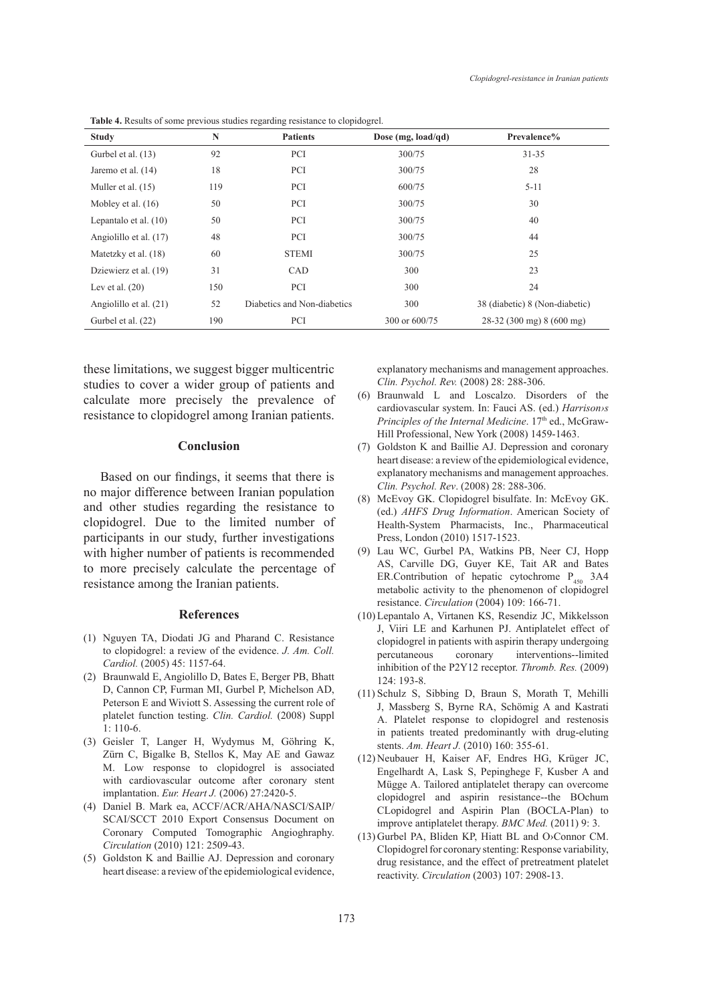| <b>Study</b>            | N   | <b>Patients</b>             | Dose (mg, $load/qd)$ | Prevalence%                               |
|-------------------------|-----|-----------------------------|----------------------|-------------------------------------------|
| Gurbel et al. (13)      | 92  | <b>PCI</b>                  | 300/75               | $31 - 35$                                 |
| Jaremo et al. (14)      | 18  | <b>PCI</b>                  | 300/75               | 28                                        |
| Muller et al. (15)      | 119 | <b>PCI</b>                  | 600/75               | $5 - 11$                                  |
| Mobley et al. $(16)$    | 50  | <b>PCI</b>                  | 300/75               | 30                                        |
| Lepantalo et al. $(10)$ | 50  | <b>PCI</b>                  | 300/75               | 40                                        |
| Angiolillo et al. (17)  | 48  | PCI                         | 300/75               | 44                                        |
| Matetzky et al. (18)    | 60  | <b>STEMI</b>                | 300/75               | 25                                        |
| Dziewierz et al. (19)   | 31  | CAD                         | 300                  | 23                                        |
| Lev et al. $(20)$       | 150 | PCI                         | 300                  | 24                                        |
| Angiolillo et al. (21)  | 52  | Diabetics and Non-diabetics | 300                  | 38 (diabetic) 8 (Non-diabetic)            |
| Gurbel et al. (22)      | 190 | <b>PCI</b>                  | 300 or 600/75        | $28-32(300 \text{ mg}) 8(600 \text{ mg})$ |

**Table 4.** Results of some previous studies regarding resistance to clopidogrel.

these limitations, we suggest bigger multicentric studies to cover a wider group of patients and calculate more precisely the prevalence of resistance to clopidogrel among Iranian patients.

#### **Conclusion**

Based on our findings, it seems that there is no major difference between Iranian population and other studies regarding the resistance to clopidogrel. Due to the limited number of participants in our study, further investigations with higher number of patients is recommended to more precisely calculate the percentage of resistance among the Iranian patients.

#### **References**

- (1) Nguyen TA, Diodati JG and Pharand C. Resistance to clopidogrel: a review of the evidence. *J. Am. Coll. Cardiol.* (2005) 45: 1157-64.
- (2) Braunwald E, Angiolillo D, Bates E, Berger PB, Bhatt D, Cannon CP, Furman MI, Gurbel P, Michelson AD, Peterson E and Wiviott S. Assessing the current role of platelet function testing. *Clin. Cardiol.* (2008) Suppl 1: 110-6.
- Geisler T, Langer H, Wydymus M, Göhring K, (3) Zürn C, Bigalke B, Stellos K, May AE and Gawaz M. Low response to clopidogrel is associated with cardiovascular outcome after coronary stent implantation. *Eur. Heart J.* (2006) 27:2420-5.
- Daniel B. Mark ea, ACCF/ACR/AHA/NASCI/SAIP/ (4) SCAI/SCCT 2010 Export Consensus Document on Coronary Computed Tomographic Angioghraphy. *Circulation* (2010) 121: 2509-43.
- Goldston K and Baillie AJ. Depression and coronary (5) heart disease: a review of the epidemiological evidence,

explanatory mechanisms and management approaches. *Clin. Psychol. Rev.* (2008) 28: 288-306.

- Braunwald L and Loscalzo. Disorders of the (6) cardiovascular system. In: Fauci AS. (ed.) *Harrison›s Principles of the Internal Medicine*. 17<sup>th</sup> ed., McGraw-Hill Professional, New York (2008) 1459-1463.
- (7) Goldston K and Baillie AJ. Depression and coronary heart disease: a review of the epidemiological evidence, explanatory mechanisms and management approaches. *Clin. Psychol. Rev*. (2008) 28: 288-306.
- McEvoy GK. Clopidogrel bisulfate. In: McEvoy GK. (8) (ed.) *AHFS Drug Information*. American Society of Health-System Pharmacists, Inc., Pharmaceutical Press, London (2010) 1517-1523.
- Lau WC, Gurbel PA, Watkins PB, Neer CJ, Hopp (9) AS, Carville DG, Guyer KE, Tait AR and Bates ER.Contribution of hepatic cytochrome  $P_{450}$  3A4 metabolic activity to the phenomenon of clopidogrel resistance. *Circulation* (2004) 109: 166-71.
- (10) Lepantalo A, Virtanen KS, Resendiz JC, Mikkelsson J, Viiri LE and Karhunen PJ. Antiplatelet effect of clopidogrel in patients with aspirin therapy undergoing percutaneous coronary interventions--limited inhibition of the P2Y12 receptor. *Thromb. Res.* (2009) 124: 193-8.
- (11) Schulz S, Sibbing D, Braun S, Morath T, Mehilli J, Massberg S, Byrne RA, Schömig A and Kastrati A. Platelet response to clopidogrel and restenosis in patients treated predominantly with drug-eluting stents. *Am. Heart J.* (2010) 160: 355-61.
- (12) Neubauer H, Kaiser AF, Endres HG, Krüger JC, Engelhardt A, Lask S, Pepinghege F, Kusber A and Mügge A. Tailored antiplatelet therapy can overcome clopidogrel and aspirin resistance--the BOchum CLopidogrel and Aspirin Plan (BOCLA-Plan) to improve antiplatelet therapy. *BMC Med.* (2011) 9: 3.
- $(13)$  Gurbel PA, Bliden KP, Hiatt BL and O $\circ$ Connor CM. Clopidogrel for coronary stenting: Response variability, drug resistance, and the effect of pretreatment platelet reactivity. *Circulation* (2003) 107: 2908-13.